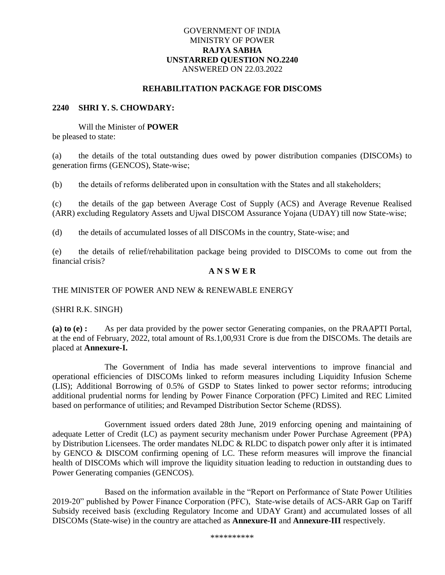## GOVERNMENT OF INDIA MINISTRY OF POWER **RAJYA SABHA UNSTARRED QUESTION NO.2240** ANSWERED ON 22.03.2022

#### **REHABILITATION PACKAGE FOR DISCOMS**

## **2240 SHRI Y. S. CHOWDARY:**

Will the Minister of **POWER** be pleased to state:

(a) the details of the total outstanding dues owed by power distribution companies (DISCOMs) to generation firms (GENCOS), State-wise;

(b) the details of reforms deliberated upon in consultation with the States and all stakeholders;

(c) the details of the gap between Average Cost of Supply (ACS) and Average Revenue Realised (ARR) excluding Regulatory Assets and Ujwal DISCOM Assurance Yojana (UDAY) till now State-wise;

(d) the details of accumulated losses of all DISCOMs in the country, State-wise; and

(e) the details of relief/rehabilitation package being provided to DISCOMs to come out from the financial crisis?

### **A N S W E R**

#### THE MINISTER OF POWER AND NEW & RENEWABLE ENERGY

(SHRI R.K. SINGH)

**(a) to (e) :** As per data provided by the power sector Generating companies, on the PRAAPTI Portal, at the end of February, 2022, total amount of Rs.1,00,931 Crore is due from the DISCOMs. The details are placed at **Annexure-I.**

 The Government of India has made several interventions to improve financial and operational efficiencies of DISCOMs linked to reform measures including Liquidity Infusion Scheme (LIS); Additional Borrowing of 0.5% of GSDP to States linked to power sector reforms; introducing additional prudential norms for lending by Power Finance Corporation (PFC) Limited and REC Limited based on performance of utilities; and Revamped Distribution Sector Scheme (RDSS).

Government issued orders dated 28th June, 2019 enforcing opening and maintaining of adequate Letter of Credit (LC) as payment security mechanism under Power Purchase Agreement (PPA) by Distribution Licensees. The order mandates NLDC  $\&$  RLDC to dispatch power only after it is intimated by GENCO & DISCOM confirming opening of LC. These reform measures will improve the financial health of DISCOMs which will improve the liquidity situation leading to reduction in outstanding dues to Power Generating companies (GENCOS).

Based on the information available in the "Report on Performance of State Power Utilities 2019-20" published by Power Finance Corporation (PFC), State-wise details of ACS-ARR Gap on Tariff Subsidy received basis (excluding Regulatory Income and UDAY Grant) and accumulated losses of all DISCOMs (State-wise) in the country are attached as **Annexure-II** and **Annexure-III** respectively.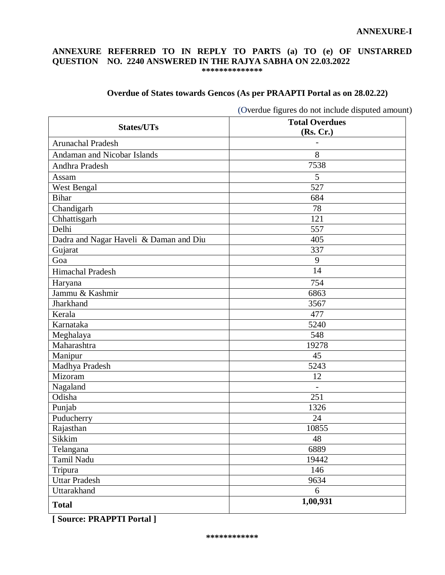### **ANNEXURE-I**

## **ANNEXURE REFERRED TO IN REPLY TO PARTS (a) TO (e) OF UNSTARRED QUESTION NO. 2240 ANSWERED IN THE RAJYA SABHA ON 22.03.2022 \*\*\*\*\*\*\*\*\*\*\*\*\*\***

## **Overdue of States towards Gencos (As per PRAAPTI Portal as on 28.02.22)**

|                                        | Overane rigures ao noi menine disputeu amoun<br><b>Total Overdues</b> |
|----------------------------------------|-----------------------------------------------------------------------|
| <b>States/UTs</b>                      | (Rs, Cr.)                                                             |
| <b>Arunachal Pradesh</b>               |                                                                       |
| Andaman and Nicobar Islands            | 8                                                                     |
| Andhra Pradesh                         | 7538                                                                  |
| Assam                                  | 5                                                                     |
| West Bengal                            | 527                                                                   |
| <b>Bihar</b>                           | 684                                                                   |
| Chandigarh                             | 78                                                                    |
| Chhattisgarh                           | 121                                                                   |
| Delhi                                  | 557                                                                   |
| Dadra and Nagar Haveli & Daman and Diu | 405                                                                   |
| Gujarat                                | 337                                                                   |
| Goa                                    | 9                                                                     |
| Himachal Pradesh                       | 14                                                                    |
| Haryana                                | 754                                                                   |
| Jammu & Kashmir                        | 6863                                                                  |
| Jharkhand                              | 3567                                                                  |
| Kerala                                 | 477                                                                   |
| Karnataka                              | 5240                                                                  |
| Meghalaya                              | 548                                                                   |
| Maharashtra                            | 19278                                                                 |
| Manipur                                | 45                                                                    |
| Madhya Pradesh                         | 5243                                                                  |
| Mizoram                                | 12                                                                    |
| Nagaland                               |                                                                       |
| Odisha                                 | 251                                                                   |
| Punjab                                 | 1326                                                                  |
| Puducherry                             | 24                                                                    |
| Rajasthan                              | 10855                                                                 |
| Sikkim                                 | $\sqrt{48}$                                                           |
| Telangana                              | 6889                                                                  |
| Tamil Nadu                             | 19442                                                                 |
| Tripura                                | 146                                                                   |
| <b>Uttar Pradesh</b>                   | 9634                                                                  |
| Uttarakhand                            | 6                                                                     |
| <b>Total</b>                           | 1,00,931                                                              |

(Overdue figures do not include disputed amount)

**[ Source: PRAPPTI Portal ]**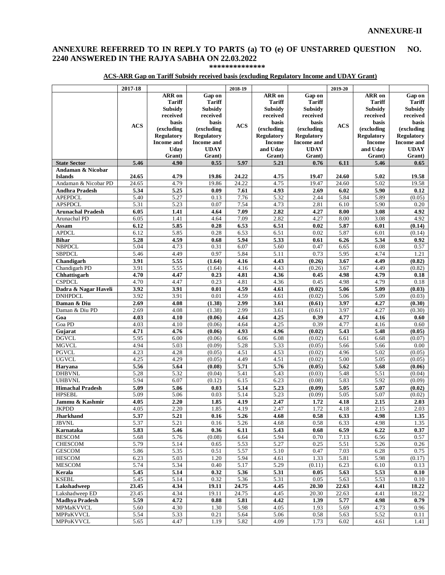## **ANNEXURE REFERRED TO IN REPLY TO PARTS (a) TO (e) OF UNSTARRED QUESTION NO. 2240 ANSWERED IN THE RAJYA SABHA ON 22.03.2022**

**\*\*\*\*\*\*\*\*\*\*\*\*\*\***

## **ACS-ARR Gap on Tariff Subsidy received basis (excluding Regulatory Income and UDAY Grant)**

|                                | 2017-18           |                                 |                                 | 2018-19      |                                 |                                 | 2019-20           |                                 |                                 |
|--------------------------------|-------------------|---------------------------------|---------------------------------|--------------|---------------------------------|---------------------------------|-------------------|---------------------------------|---------------------------------|
|                                |                   | <b>ARR</b> on                   | Gap on                          |              | <b>ARR</b> on                   | Gap on                          |                   | <b>ARR</b> on                   | Gap on                          |
|                                |                   | <b>Tariff</b>                   | <b>Tariff</b>                   |              | <b>Tariff</b>                   | <b>Tariff</b>                   |                   | <b>Tariff</b>                   | <b>Tariff</b>                   |
|                                |                   | Subsidy                         | Subsidy                         |              | <b>Subsidy</b>                  | <b>Subsidy</b>                  |                   | <b>Subsidy</b>                  | <b>Subsidy</b>                  |
|                                |                   | received                        | received                        |              | received                        | received                        |                   | received                        | received                        |
|                                | <b>ACS</b>        | basis                           | basis                           | <b>ACS</b>   | basis                           | basis                           | <b>ACS</b>        | basis                           | basis                           |
|                                |                   | (excluding<br><b>Regulatory</b> | (excluding<br><b>Regulatory</b> |              | (excluding<br><b>Regulatory</b> | (excluding<br><b>Regulatory</b> |                   | (excluding<br><b>Regulatory</b> | (excluding<br><b>Regulatory</b> |
|                                |                   | <b>Income</b> and               | <b>Income and</b>               |              | <b>Income</b>                   | <b>Income</b> and               |                   | <b>Income</b>                   | <b>Income</b> and               |
|                                |                   | Uday                            | <b>UDAY</b>                     |              | and Uday                        | <b>UDAY</b>                     |                   | and Udav                        | <b>UDAY</b>                     |
|                                |                   | Grant)                          | Grant)                          |              | Grant)                          | Grant)                          |                   | Grant)                          | Grant)                          |
| <b>State Sector</b>            | 5.46              | 4.90                            | 0.55                            | 5.97         | 5.21                            | 0.76                            | 6.11              | 5.46                            | 0.65                            |
| Andaman & Nicobar              |                   |                                 |                                 |              |                                 |                                 |                   |                                 |                                 |
| <b>Islands</b>                 | 24.65             | 4.79                            | 19.86                           | 24.22        | 4.75                            | 19.47                           | 24.60             | 5.02                            | 19.58                           |
| Andaman & Nicobar PD           | 24.65             | 4.79                            | 19.86                           | 24.22        | 4.75                            | 19.47                           | 24.60             | 5.02                            | 19.58                           |
| <b>Andhra Pradesh</b>          | 5.34              | 5.25                            | 0.09                            | 7.61         | 4.93                            | 2.69                            | 6.02              | 5.90                            | 0.12                            |
| <b>APEPDCL</b>                 | 5.40              | 5.27                            | 0.13                            | 7.76         | 5.32                            | 2.44                            | 5.84              | 5.89                            | (0.05)                          |
| <b>APSPDCL</b>                 | 5.31              | 5.23                            | 0.07                            | 7.54         | 4.73                            | 2.81                            | 6.10              | 5.90                            | 0.20                            |
| <b>Arunachal Pradesh</b>       | 6.05              | 1.41                            | 4.64                            | 7.09         | 2.82                            | 4.27                            | 8.00              | 3.08                            | 4.92                            |
| Arunachal PD                   | 6.05              | 1.41                            | 4.64                            | 7.09         | 2.82                            | 4.27                            | 8.00              | 3.08                            | 4.92                            |
| Assam                          | 6.12              | 5.85                            | 0.28                            | 6.53         | 6.51                            | 0.02                            | 5.87              | 6.01                            | (0.14)                          |
| <b>APDCL</b>                   | 6.12              | 5.85                            | 0.28                            | 6.53         | 6.51                            | 0.02                            | 5.87              | 6.01                            | (0.14)                          |
| <b>Bihar</b>                   | 5.28              | 4.59                            | 0.68                            | 5.94         | 5.33                            | 0.61                            | 6.26              | 5.34                            | 0.92                            |
| <b>NBPDCL</b>                  | 5.04              | 4.73                            | 0.31                            | 6.07         | 5.60                            | 0.47                            | 6.65              | 6.08                            | 0.57                            |
| <b>SBPDCL</b>                  | 5.46              | 4.49                            | 0.97                            | 5.84         | 5.11                            | 0.73                            | 5.95              | 4.74                            | 1.21                            |
| Chandigarh                     | 3.91              | 5.55                            | (1.64)                          | 4.16         | 4.43                            | (0.26)                          | 3.67              | 4.49                            | (0.82)                          |
| Chandigarh PD                  | 3.91              | 5.55                            | (1.64)                          | 4.16         | 4.43                            | (0.26)                          | 3.67              | 4.49                            | (0.82)                          |
| Chhattisgarh                   | 4.70              | 4.47                            | 0.23                            | 4.81         | 4.36                            | 0.45                            | 4.98              | 4.79                            | 0.18                            |
| <b>CSPDCL</b>                  | 4.70              | 4.47                            | 0.23                            | 4.81         | 4.36                            | 0.45                            | 4.98              | 4.79                            | 0.18                            |
| Dadra & Nagar Haveli           | 3.92              | 3.91                            | 0.01                            | 4.59         | 4.61                            | (0.02)                          | 5.06              | 5.09                            | (0.03)                          |
| <b>DNHPDCL</b>                 | 3.92              | 3.91                            | 0.01                            | 4.59         | 4.61                            | (0.02)                          | 5.06              | 5.09                            | (0.03)                          |
| Daman & Diu                    | 2.69              | 4.08                            | (1.38)                          | 2.99         | 3.61                            | (0.61)                          | 3.97              | 4.27                            | (0.30)                          |
| Daman & Diu PD                 | 2.69              | 4.08                            | (1.38)                          | 2.99         | 3.61                            | (0.61)                          | 3.97              | 4.27                            | (0.30)                          |
| Goa                            | 4.03              | 4.10                            | (0.06)                          | 4.64         | 4.25                            | 0.39                            | 4.77              | 4.16                            | 0.60                            |
| Goa PD                         | 4.03              | 4.10                            | (0.06)                          | 4.64         | 4.25                            | 0.39                            | 4.77              | 4.16                            | 0.60                            |
| Gujarat                        | 4.71              | 4.76                            | (0.06)                          | 4.93         | 4.96                            | (0.02)                          | $\overline{5.43}$ | 5.48                            | (0.05)                          |
| <b>DGVCL</b>                   | 5.95              | 6.00                            | (0.06)                          | 6.06         | 6.08                            | (0.02)                          | 6.61              | 6.68                            | (0.07)                          |
| <b>MGVCL</b>                   | 4.94              | 5.03                            | (0.09)                          | 5.28         | 5.33                            | (0.05)                          | 5.66              | 5.66                            | 0.00                            |
| <b>PGVCL</b>                   | 4.23              | 4.28                            | (0.05)                          | 4.51         | 4.53                            | (0.02)                          | 4.96              | 5.02                            | (0.05)                          |
| <b>UGVCL</b>                   | 4.25              | 4.29                            | (0.05)                          | 4.49         | 4.51                            | (0.02)                          | 5.00              | 5.05                            | (0.05)                          |
| Harvana                        | 5.56              | 5.64                            | (0.08)                          | 5.71         | 5.76                            | (0.05)                          | 5.62              | 5.68                            | (0.06)                          |
| <b>DHBVNL</b><br><b>UHBVNL</b> | 5.28<br>5.94      | 5.32<br>6.07                    | (0.04)<br>(0.12)                | 5.41<br>6.15 | 5.43<br>6.23                    | (0.03)<br>(0.08)                | 5.48<br>5.83      | 5.51<br>5.92                    | (0.04)<br>(0.09)                |
| <b>Himachal Pradesh</b>        | 5.09              | 5.06                            | 0.03                            | 5.14         | 5.23                            | (0.09)                          | 5.05              | 5.07                            | (0.02)                          |
| HPSEBL                         | 5.09              | 5.06                            | 0.03                            | 5.14         | 5.23                            | (0.09)                          | 5.05              | 5.07                            | (0.02)                          |
| Jammu & Kashmir                | 4.05              | 2.20                            | 1.85                            | 4.19         | 2.47                            | 1.72                            | 4.18              | 2.15                            | 2.03                            |
| <b>JKPDD</b>                   | 4.05              | 2.20                            | 1.85                            | 4.19         | 2.47                            | 1.72                            | 4.18              | 2.15                            | 2.03                            |
| <b>Jharkhand</b>               | 5.37              | 5.21                            | 0.16                            | 5.26         | 4.68                            | 0.58                            | 6.33              | 4.98                            | 1.35                            |
| <b>JBVNL</b>                   | 5.37              | 5.21                            | 0.16                            | 5.26         | 4.68                            | 0.58                            | 6.33              | 4.98                            | 1.35                            |
| Karnataka                      | 5.83              | 5.46                            | 0.36                            | 6.11         | 5.43                            | 0.68                            | 6.59              | 6.22                            | 0.37                            |
| <b>BESCOM</b>                  | 5.68              | 5.76                            | (0.08)                          | 6.64         | 5.94                            | 0.70                            | 7.13              | 6.56                            | 0.57                            |
| CHESCOM                        | 5.79              | 5.14                            | 0.65                            | 5.53         | 5.27                            | 0.25                            | 5.51              | 5.26                            | 0.26                            |
| <b>GESCOM</b>                  | 5.86              | 5.35                            | 0.51                            | 5.57         | 5.10                            | 0.47                            | 7.03              | 6.28                            | 0.75                            |
| <b>HESCOM</b>                  | 6.23              | 5.03                            | 1.20                            | 5.94         | 4.61                            | 1.33                            | 5.81              | 5.98                            | (0.17)                          |
| <b>MESCOM</b>                  | 5.74              | 5.34                            | 0.40                            | 5.17         | 5.29                            | (0.11)                          | 6.23              | 6.10                            | 0.13                            |
| Kerala                         | 5.45              | 5.14                            | 0.32                            | 5.36         | 5.31                            | 0.05                            | 5.63              | 5.53                            | 0.10                            |
| <b>KSEBL</b>                   | $\overline{5.45}$ | 5.14                            | 0.32                            | 5.36         | 5.31                            | 0.05                            | 5.63              | 5.53                            | 0.10                            |
| Lakshadweep                    | 23.45             | 4.34                            | 19.11                           | 24.75        | 4.45                            | 20.30                           | 22.63             | 4.41                            | 18.22                           |
| Lakshadweep ED                 | 23.45             | 4.34                            | 19.11                           | 24.75        | 4.45                            | 20.30                           | 22.63             | 4.41                            | 18.22                           |
| <b>Madhya Pradesh</b>          | 5.59              | 4.72                            | 0.88                            | 5.81         | 4.42                            | 1.39                            | 5.77              | 4.98                            | 0.79                            |
| MPMaKVVCL                      | 5.60              | 4.30                            | 1.30                            | 5.98         | 4.05                            | 1.93                            | 5.69              | 4.73                            | 0.96                            |
| MPPaKVVCL                      | 5.54              | 5.33                            | 0.21                            | 5.64         | 5.06                            | 0.58                            | 5.63              | 5.52                            | 0.11                            |
| MPPoKVVCL                      | 5.65              | 4.47                            | 1.19                            | 5.82         | 4.09                            | 1.73                            | 6.02              | 4.61                            | 1.41                            |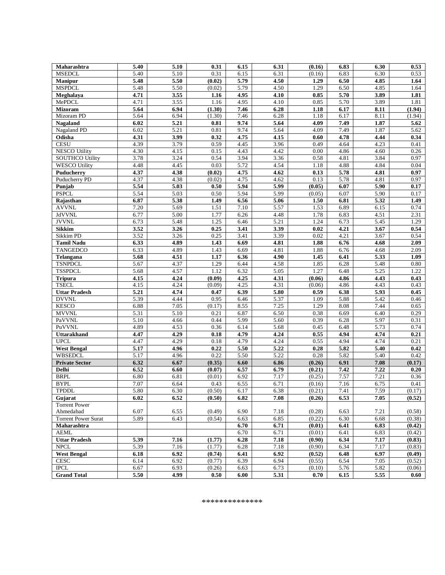| Maharashtra                | 5.40 | 5.10 | 0.31       | 6.15 | 6.31 | (0.16)   | 6.83 | 6.30              | 0.53     |
|----------------------------|------|------|------------|------|------|----------|------|-------------------|----------|
| <b>MSEDCL</b>              | 5.40 | 5.10 | 0.31       | 6.15 | 6.31 | (0.16)   | 6.83 | 6.30              | 0.53     |
| Manipur                    | 5.48 | 5.50 | (0.02)     | 5.79 | 4.50 | 1.29     | 6.50 | 4.85              | 1.64     |
| <b>MSPDCL</b>              | 5.48 | 5.50 | (0.02)     | 5.79 | 4.50 | 1.29     | 6.50 | 4.85              | 1.64     |
| Meghalaya                  | 4.71 | 3.55 | 1.16       | 4.95 | 4.10 | 0.85     | 5.70 | 3.89              | 1.81     |
| MePDCL                     | 4.71 | 3.55 | 1.16       | 4.95 | 4.10 | 0.85     | 5.70 | 3.89              | 1.81     |
| <b>Mizoram</b>             | 5.64 | 6.94 | (1.30)     | 7.46 | 6.28 | 1.18     | 6.17 | 8.11              | (1.94)   |
| Mizoram PD                 | 5.64 | 6.94 | (1.30)     | 7.46 | 6.28 | 1.18     | 6.17 | 8.11              | (1.94)   |
| Nagaland                   | 6.02 | 5.21 | $\bf 0.81$ | 9.74 | 5.64 | 4.09     | 7.49 | 1.87              | 5.62     |
| Nagaland PD                | 6.02 | 5.21 | 0.81       | 9.74 | 5.64 | 4.09     | 7.49 | 1.87              | 5.62     |
| Odisha                     | 4.31 | 3.99 | 0.32       | 4.75 | 4.15 | 0.60     | 4.78 | 4.44              | 0.34     |
| <b>CESU</b>                | 4.39 | 3.79 | 0.59       | 4.45 | 3.96 | 0.49     | 4.64 | 4.23              | 0.41     |
| <b>NESCO Utility</b>       | 4.30 | 4.15 | 0.15       | 4.43 | 4.42 | $0.00\,$ | 4.86 | 4.60              | 0.26     |
| <b>SOUTHCO Utility</b>     | 3.78 | 3.24 | 0.54       | 3.94 | 3.36 | 0.58     | 4.81 | 3.84              | 0.97     |
|                            |      |      | 0.03       |      |      |          |      |                   |          |
| <b>WESCO Utility</b>       | 4.48 | 4.45 |            | 5.72 | 4.54 | 1.18     | 4.88 | 4.84              | $0.04\,$ |
| Puducherry                 | 4.37 | 4.38 | (0.02)     | 4.75 | 4.62 | 0.13     | 5.78 | 4.81              | 0.97     |
| Puducherry PD              | 4.37 | 4.38 | (0.02)     | 4.75 | 4.62 | 0.13     | 5.78 | 4.81              | 0.97     |
| Punjab                     | 5.54 | 5.03 | 0.50       | 5.94 | 5.99 | (0.05)   | 6.07 | $\overline{5.90}$ | 0.17     |
| <b>PSPCL</b>               | 5.54 | 5.03 | 0.50       | 5.94 | 5.99 | (0.05)   | 6.07 | 5.90              | 0.17     |
| Rajasthan                  | 6.87 | 5.38 | 1.49       | 6.56 | 5.06 | 1.50     | 6.81 | 5.32              | 1.49     |
| <b>AVVNL</b>               | 7.20 | 5.69 | 1.51       | 7.10 | 5.57 | 1.53     | 6.89 | 6.15              | 0.74     |
| <b>JdVVNL</b>              | 6.77 | 5.00 | 1.77       | 6.26 | 4.48 | 1.78     | 6.83 | 4.51              | 2.31     |
| <b>JVVNL</b>               | 6.73 | 5.48 | 1.25       | 6.46 | 5.21 | 1.24     | 6.73 | 5.45              | 1.29     |
| Sikkim                     | 3.52 | 3.26 | 0.25       | 3.41 | 3.39 | $0.02\,$ | 4.21 | 3.67              | 0.54     |
| Sikkim PD                  | 3.52 | 3.26 | 0.25       | 3.41 | 3.39 | 0.02     | 4.21 | 3.67              | 0.54     |
| <b>Tamil Nadu</b>          | 6.33 | 4.89 | 1.43       | 6.69 | 4.81 | 1.88     | 6.76 | 4.68              | 2.09     |
| <b>TANGEDCO</b>            | 6.33 | 4.89 | 1.43       | 6.69 | 4.81 | 1.88     | 6.76 | 4.68              | 2.09     |
| Telangana                  | 5.68 | 4.51 | 1.17       | 6.36 | 4.90 | 1.45     | 6.41 | 5.33              | 1.09     |
| <b>TSNPDCL</b>             | 5.67 | 4.37 | 1.29       | 6.44 | 4.58 | 1.85     | 6.28 | 5.48              | $0.80\,$ |
| <b>TSSPDCL</b>             | 5.68 | 4.57 | 1.12       | 6.32 | 5.05 | 1.27     | 6.48 | 5.25              | 1.22     |
| <b>Tripura</b>             | 4.15 | 4.24 | (0.09)     | 4.25 | 4.31 | (0.06)   | 4.86 | 4.43              | 0.43     |
| <b>TSECL</b>               | 4.15 | 4.24 | (0.09)     | 4.25 | 4.31 | (0.06)   | 4.86 | 4.43              | 0.43     |
| <b>Uttar Pradesh</b>       | 5.21 | 4.74 | 0.47       | 6.39 | 5.80 | 0.59     | 6.38 | 5.93              | 0.45     |
| <b>DVVNL</b>               | 5.39 | 4.44 | 0.95       | 6.46 | 5.37 | 1.09     | 5.88 | 5.42              | 0.46     |
| <b>KESCO</b>               | 6.88 | 7.05 | (0.17)     | 8.55 | 7.25 | 1.29     | 8.08 | 7.44              | 0.65     |
| <b>MVVNL</b>               | 5.31 | 5.10 | 0.21       | 6.87 | 6.50 | 0.38     | 6.69 | 6.40              | 0.29     |
| PaVVNL                     | 5.10 | 4.66 | 0.44       | 5.99 | 5.60 | 0.39     | 6.28 | 5.97              | 0.31     |
| PuVVNL                     | 4.89 | 4.53 | 0.36       | 6.14 | 5.68 | 0.45     | 6.48 | 5.73              | 0.74     |
| <b>Uttarakhand</b>         | 4.47 | 4.29 | $0.18\,$   | 4.79 | 4,24 | 0.55     | 4,94 | 4.74              | 0.21     |
| <b>UPCL</b>                | 4.47 | 4.29 | 0.18       | 4.79 | 4.24 | 0.55     | 4.94 | 4.74              | 0.21     |
| <b>West Bengal</b>         | 5.17 | 4.96 | 0.22       | 5.50 | 5.22 | 0.28     | 5.82 | 5.40              | 0.42     |
| <b>WBSEDCL</b>             | 5.17 | 4.96 | 0.22       | 5.50 | 5.22 | 0.28     | 5.82 | 5.40              | 0.42     |
| <b>Private Sector</b>      | 6.32 | 6.67 | (0.35)     | 6.60 | 6.86 | (0.26)   | 6.91 | 7.08              | (0.17)   |
| <b>Delhi</b>               | 6.52 | 6.60 | (0.07)     | 6.57 | 6.79 | (0.21)   | 7.42 | 7.22              | 0.20     |
| <b>BRPL</b>                | 6.80 | 6.81 | (0.01)     | 6.92 | 7.17 | (0.25)   | 7.57 | 7.21              | 0.36     |
| <b>BYPL</b>                | 7.07 | 6.64 | 0.43       | 6.55 | 6.71 | (0.16)   | 7.16 | 6.75              | 0.41     |
| <b>TPDDL</b>               | 5.80 | 6.30 | (0.50)     | 6.17 | 6.38 | (0.21)   | 7.41 | 7.59              | (0.17)   |
| Gujarat                    | 6.02 | 6.52 | (0.50)     | 6.82 | 7.08 | (0.26)   | 6.53 | 7.05              | (0.52)   |
| <b>Torrent Power</b>       |      |      |            |      |      |          |      |                   |          |
| Ahmedabad                  | 6.07 | 6.55 | (0.49)     | 6.90 | 7.18 | (0.28)   | 6.63 | 7.21              | (0.58)   |
| <b>Torrent Power Surat</b> | 5.89 | 6.43 | (0.54)     | 6.63 | 6.85 | (0.22)   | 6.30 | 6.68              | (0.38)   |
| Maharashtra                |      |      |            | 6.70 | 6.71 | (0.01)   | 6.41 | 6.83              | (0.42)   |
| <b>AEML</b>                |      |      |            | 6.70 | 6.71 | (0.01)   | 6.41 | 6.83              | (0.42)   |
| <b>Uttar Pradesh</b>       | 5.39 | 7.16 | (1.77)     | 6.28 | 7.18 | (0.90)   | 6.34 | 7.17              | (0.83)   |
| <b>NPCL</b>                | 5.39 | 7.16 | (1.77)     | 6.28 | 7.18 | (0.90)   | 6.34 | 7.17              | (0.83)   |
| <b>West Bengal</b>         | 6.18 | 6.92 | (0.74)     | 6.41 | 6.92 | (0.52)   | 6.48 | 6.97              | (0.49)   |
| <b>CESC</b>                | 6.14 | 6.92 | (0.77)     | 6.39 | 6.94 | (0.55)   | 6.54 | 7.05              | (0.52)   |
| <b>IPCL</b>                | 6.67 | 6.93 | (0.26)     | 6.63 | 6.73 | (0.10)   | 5.76 | 5.82              | (0.06)   |
| <b>Grand Total</b>         | 5.50 | 4.99 | 0.50       | 6.00 | 5.31 | 0.70     | 6.15 | 5.55              | 0.60     |
|                            |      |      |            |      |      |          |      |                   |          |

#### \*\*\*\*\*\*\*\*\*\*\*\*\*\*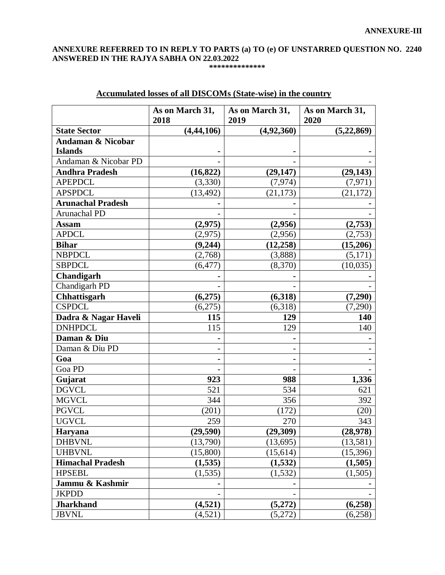# **ANNEXURE REFERRED TO IN REPLY TO PARTS (a) TO (e) OF UNSTARRED QUESTION NO. 2240 ANSWERED IN THE RAJYA SABHA ON 22.03.2022**

## **\*\*\*\*\*\*\*\*\*\*\*\*\*\***

|                          | As on March 31, | As on March 31, | As on March 31, |
|--------------------------|-----------------|-----------------|-----------------|
|                          | 2018            | 2019            | 2020            |
| <b>State Sector</b>      | (4, 44, 106)    | (4,92,360)      | (5,22,869)      |
| Andaman & Nicobar        |                 |                 |                 |
| <b>Islands</b>           |                 |                 |                 |
| Andaman & Nicobar PD     |                 |                 |                 |
| <b>Andhra Pradesh</b>    | (16, 822)       | (29, 147)       | (29, 143)       |
| <b>APEPDCL</b>           | (3,330)         | (7, 974)        | (7, 971)        |
| <b>APSPDCL</b>           | (13, 492)       | (21, 173)       | (21, 172)       |
| <b>Arunachal Pradesh</b> |                 |                 |                 |
| Arunachal PD             |                 |                 |                 |
| <b>Assam</b>             | (2,975)         | (2,956)         | (2,753)         |
| <b>APDCL</b>             | (2,975)         | (2,956)         | (2,753)         |
| <b>Bihar</b>             | (9,244)         | (12, 258)       | (15,206)        |
| <b>NBPDCL</b>            | (2,768)         | (3,888)         | (5,171)         |
| <b>SBPDCL</b>            | (6, 477)        | (8,370)         | (10,035)        |
| Chandigarh               |                 |                 |                 |
| Chandigarh PD            |                 |                 |                 |
| Chhattisgarh             | (6,275)         | (6,318)         | (7,290)         |
| <b>CSPDCL</b>            | (6,275)         | (6,318)         | (7,290)         |
| Dadra & Nagar Haveli     | 115             | 129             | 140             |
| <b>DNHPDCL</b>           | 115             | 129             | 140             |
| Daman & Diu              |                 |                 |                 |
| Daman & Diu PD           |                 |                 |                 |
| Goa                      |                 |                 |                 |
| Goa PD                   |                 |                 |                 |
| Gujarat                  | 923             | 988             | 1,336           |
| <b>DGVCL</b>             | 521             | 534             | 621             |
| <b>MGVCL</b>             | 344             | 356             | 392             |
| <b>PGVCL</b>             | (201)           | (172)           | (20)            |
| <b>UGVCL</b>             | 259             | 270             | 343             |
| Haryana                  | (29, 590)       | (29,309)        | (28,978)        |
| <b>DHBVNL</b>            | (13,790)        | (13, 695)       | (13, 581)       |
| <b>UHBVNL</b>            | (15,800)        | (15, 614)       | (15,396)        |
| <b>Himachal Pradesh</b>  | (1, 535)        | (1,532)         | (1,505)         |
| <b>HPSEBL</b>            | (1, 535)        | (1, 532)        | (1,505)         |
| Jammu & Kashmir          |                 |                 |                 |
| <b>JKPDD</b>             |                 |                 |                 |
| <b>Jharkhand</b>         | (4,521)         | (5,272)         | (6,258)         |
| <b>JBVNL</b>             | (4,521)         | (5,272)         | (6,258)         |

# **Accumulated losses of all DISCOMs (State-wise) in the country**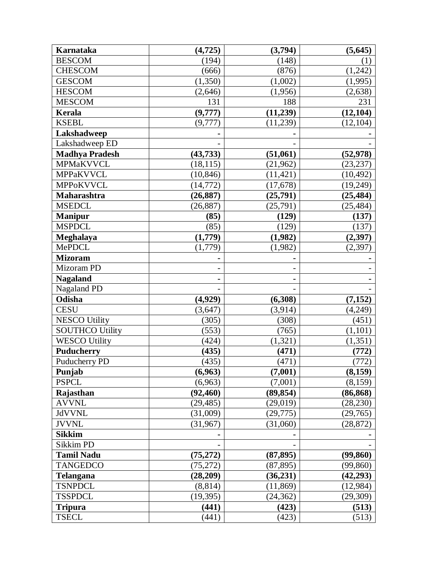| Karnataka              | (4, 725)  | (3,794)   | (5, 645)  |
|------------------------|-----------|-----------|-----------|
| <b>BESCOM</b>          | (194)     | (148)     | (1)       |
| <b>CHESCOM</b>         | (666)     | (876)     | (1,242)   |
| <b>GESCOM</b>          | (1,350)   | (1,002)   | (1,995)   |
| <b>HESCOM</b>          | (2,646)   | (1,956)   | (2, 638)  |
| <b>MESCOM</b>          | 131       | 188       | 231       |
| Kerala                 | (9,777)   | (11,239)  | (12, 104) |
| <b>KSEBL</b>           | (9,777)   | (11,239)  | (12, 104) |
| Lakshadweep            |           |           |           |
| Lakshadweep ED         |           |           |           |
| <b>Madhya Pradesh</b>  | (43, 733) | (51,061)  | (52, 978) |
| MPMaKVVCL              | (18, 115) | (21,962)  | (23, 237) |
| MPPaKVVCL              | (10, 846) | (11, 421) | (10, 492) |
| <b>MPPoKVVCL</b>       | (14, 772) | (17,678)  | (19,249)  |
| Maharashtra            | (26, 887) | (25,791)  | (25, 484) |
| <b>MSEDCL</b>          | (26, 887) | (25,791)  | (25, 484) |
| <b>Manipur</b>         | (85)      | (129)     | (137)     |
| <b>MSPDCL</b>          | (85)      | (129)     | (137)     |
| Meghalaya              | (1,779)   | (1,982)   | (2,397)   |
| MePDCL                 | (1,779)   | (1,982)   | (2,397)   |
| <b>Mizoram</b>         |           |           |           |
| Mizoram PD             |           |           |           |
| <b>Nagaland</b>        |           |           |           |
| Nagaland PD            |           |           |           |
| Odisha                 | (4,929)   | (6,308)   | (7, 152)  |
| <b>CESU</b>            | (3, 647)  | (3,914)   | (4,249)   |
| <b>NESCO Utility</b>   | (305)     | (308)     | (451)     |
| <b>SOUTHCO Utility</b> | (553)     | (765)     | (1,101)   |
| <b>WESCO Utility</b>   | (424)     | (1,321)   | (1, 351)  |
| <b>Puducherry</b>      | (435)     | (471)     | (772)     |
| Puducherry PD          | (435)     | (471)     | (772)     |
| Punjab                 | (6,963)   | (7,001)   | (8, 159)  |
| <b>PSPCL</b>           | (6,963)   | (7,001)   | (8,159)   |
| Rajasthan              | (92, 460) | (89, 854) | (86, 868) |
| <b>AVVNL</b>           | (29, 485) | (29, 019) | (28, 230) |
| <b>JdVVNL</b>          | (31,009)  | (29, 775) | (29,765)  |
| <b>JVVNL</b>           | (31, 967) | (31,060)  | (28, 872) |
| <b>Sikkim</b>          |           |           |           |
| Sikkim PD              |           |           |           |
| <b>Tamil Nadu</b>      | (75, 272) | (87, 895) | (99, 860) |
| <b>TANGEDCO</b>        | (75, 272) | (87, 895) | (99, 860) |
| <b>Telangana</b>       | (28,209)  | (36, 231) | (42, 293) |
| <b>TSNPDCL</b>         | (8, 814)  | (11, 869) | (12, 984) |
| <b>TSSPDCL</b>         | (19, 395) | (24, 362) | (29, 309) |
| <b>Tripura</b>         | (441)     | (423)     | (513)     |
| <b>TSECL</b>           | (441)     | (423)     | (513)     |